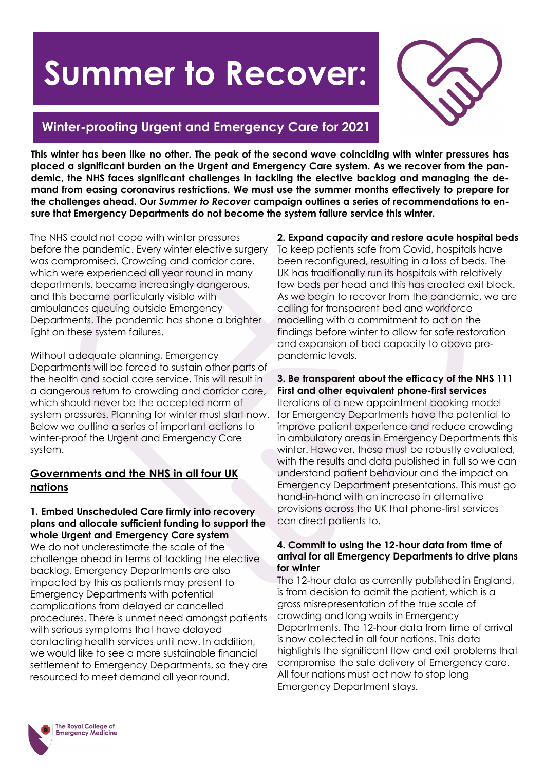# **Summer to Recover:**



## **Winter-proofing Urgent and Emergency Care for 2021**

**This winter has been like no other. The peak of the second wave coinciding with winter pressures has placed a significant burden on the Urgent and Emergency Care system. As we recover from the pandemic, the NHS faces significant challenges in tackling the elective backlog and managing the demand from easing coronavirus restrictions. We must use the summer months effectively to prepare for the challenges ahead. Our** *Summer to Recover* **campaign outlines a series of recommendations to ensure that Emergency Departments do not become the system failure service this winter.**

The NHS could not cope with winter pressures before the pandemic. Every winter elective surgery was compromised. Crowding and corridor care, which were experienced all year round in many departments, became increasingly dangerous, and this became particularly visible with ambulances queuing outside Emergency Departments. The pandemic has shone a brighter light on these system failures.

Without adequate planning, Emergency Departments will be forced to sustain other parts of the health and social care service. This will result in a dangerous return to crowding and corridor care, which should never be the accepted norm of system pressures. Planning for winter must start now. Below we outline a series of important actions to winter-proof the Urgent and Emergency Care system.

## **Governments and the NHS in all four UK nations**

## **1. Embed Unscheduled Care firmly into recovery plans and allocate sufficient funding to support the whole Urgent and Emergency Care system**

We do not underestimate the scale of the challenge ahead in terms of tackling the elective backlog. Emergency Departments are also impacted by this as patients may present to Emergency Departments with potential complications from delayed or cancelled procedures. There is unmet need amongst patients with serious symptoms that have delayed contacting health services until now. In addition, we would like to see a more sustainable financial settlement to Emergency Departments, so they are resourced to meet demand all year round.

**2. Expand capacity and restore acute hospital beds** To keep patients safe from Covid, hospitals have been reconfigured, resulting in a loss of beds. The UK has traditionally run its hospitals with relatively few beds per head and this has created exit block. As we begin to recover from the pandemic, we are calling for transparent bed and workforce modelling with a commitment to act on the findings before winter to allow for safe restoration and expansion of bed capacity to above prepandemic levels.

### **3. Be transparent about the efficacy of the NHS 111 First and other equivalent phone-first services**

Iterations of a new appointment booking model for Emergency Departments have the potential to improve patient experience and reduce crowding in ambulatory areas in Emergency Departments this winter. However, these must be robustly evaluated, with the results and data published in full so we can understand patient behaviour and the impact on Emergency Department presentations. This must go hand-in-hand with an increase in alternative provisions across the UK that phone-first services can direct patients to.

## **4. Commit to using the 12-hour data from time of arrival for all Emergency Departments to drive plans for winter**

The 12-hour data as currently published in England, is from decision to admit the patient, which is a gross misrepresentation of the true scale of crowding and long waits in Emergency Departments. The 12-hour data from time of arrival is now collected in all four nations. This data highlights the significant flow and exit problems that compromise the safe delivery of Emergency care. All four nations must act now to stop long Emergency Department stays.